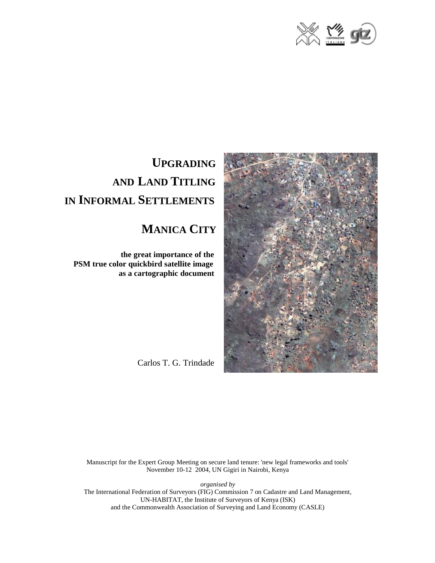



# **UPGRADING AND LAND TITLING IN INFORMAL SETTLEMENTS**

## **MANICA CITY**

 **the great importance of the PSM true color quickbird satellite image as a cartographic document**

Carlos T. G. Trindade

Manuscript for the Expert Group Meeting on secure land tenure: 'new legal frameworks and tools' November 10-12 2004, UN Gigiri in Nairobi, Kenya

*organised by* 

The International Federation of Surveyors (FIG) Commission 7 on Cadastre and Land Management, UN-HABITAT, the Institute of Surveyors of Kenya (ISK) and the Commonwealth Association of Surveying and Land Economy (CASLE)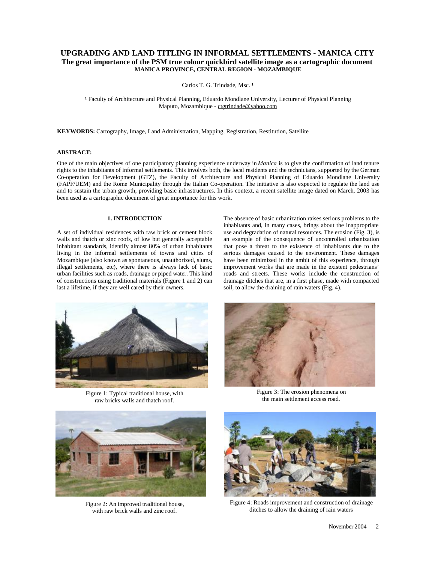### **UPGRADING AND LAND TITLING IN INFORMAL SETTLEMENTS - MANICA CITY The great importance of the PSM true colour quickbird satellite image as a cartographic document MANICA PROVINCE, CENTRAL REGION - MOZAMBIQUE**

Carlos T. G. Trindade, Msc.<sup>1</sup>

<sup>1</sup> Faculty of Architecture and Physical Planning, Eduardo Mondlane University, Lecturer of Physical Planning Maputo, Mozambique - [ctgtrindade@yahoo.com](mailto:ctgtrindade@yahoo.com)

**KEYWORDS:** Cartography, Image, Land Administration, Mapping, Registration, Restitution, Satellite

#### **ABSTRACT:**

One of the main objectives of one participatory planning experience underway in *Manica* is to give the confirmation of land tenure rights to the inhabitants of informal settlements. This involves both, the local residents and the technicians, supported by the German Co-operation for Development (GTZ), the Faculty of Architecture and Physical Planning of Eduardo Mondlane University (FAPF/UEM) and the Rome Municipality through the Italian Co-operation. The initiative is also expected to regulate the land use and to sustain the urban growth, providing basic infrastructures. In this context, a recent satellite image dated on March, 2003 has been used as a cartographic document of great importance for this work.

#### **1. INTRODUCTION**

A set of individual residences with raw brick or cement block walls and thatch or zinc roofs, of low but generally acceptable inhabitant standards, identify almost 80% of urban inhabitants living in the informal settlements of towns and cities of Mozambique (also known as spontaneous, unauthorized, slums, illegal settlements, etc), where there is always lack of basic urban facilities such as roads, drainage or piped water. This kind of constructions using traditional materials (Figure 1 and 2) can last a lifetime, if they are well cared by their owners.

The absence of basic urbanization raises serious problems to the inhabitants and, in many cases, brings about the inappropriate use and degradation of natural resources. The erosion (Fig. 3), is an example of the consequence of uncontrolled urbanization that pose a threat to the existence of inhabitants due to the serious damages caused to the environment. These damages have been minimized in the ambit of this experience, through improvement works that are made in the existent pedestrians' roads and streets. These works include the construction of drainage ditches that are, in a first phase, made with compacted soil, to allow the draining of rain waters (Fig. 4).



Figure 1: Typical traditional house, with raw bricks walls and thatch roof.



Figure 3: The erosion phenomena on the main settlement access road.



Figure 2: An improved traditional house, with raw brick walls and zinc roof.



Figure 4: Roads improvement and construction of drainage ditches to allow the draining of rain waters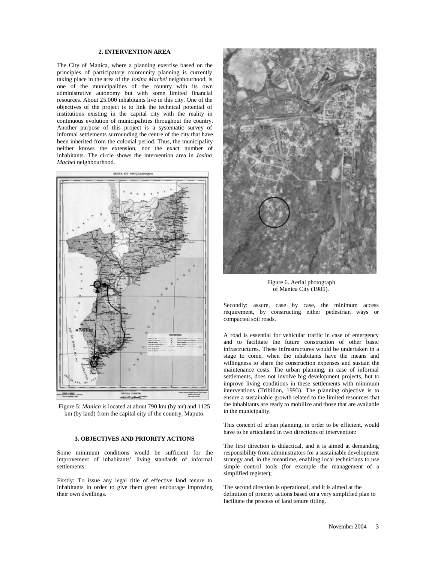#### **2. INTERVENTION AREA**

The City of Manica, where a planning exercise based on the principles of participatory community planning is currently taking place in the area of the *Josina Machel* neighbourhood, is one of the municipalities of the country with its own administrative autonomy but with some limited financial resources. About 25.000 inhabitants live in this city. One of the objectives of the project is to link the technical potential of institutions existing in the capital city with the reality in continuous evolution of municipalities throughout the country. Another purpose of this project is a systematic survey of informal settlements surrounding the centre of the city that have been inherited from the colonial period. Thus, the municipality neither knows the extension, nor the exact number of inhabitants. The circle shows the intervention area in *Josina Machel* neighbourhood.



Figure 5: *Manica* is located at about 790 km (by air) and 1125 km (by land) from the capital city of the country, Maputo.

#### **3. OBJECTIVES AND PRIORITY ACTIONS**

Some minimum conditions would be sufficient for the improvement of inhabitants' living standards of informal settlements:

Firstly: To issue any legal title of effective land tenure to inhabitants in order to give them great encourage improving their own dwellings.



Figure 6. Aerial photograph of Manica City (1985).

Secondly: assure, case by case, the minimum access requirement, by constructing either pedestrian ways or compacted soil roads.

A road is essential for vehicular traffic in case of emergency and to facilitate the future construction of other basic infrastructures. These infrastructures would be undertaken in a stage to come, when the inhabitants have the means and willingness to share the construction expenses and sustain the maintenance costs. The urban planning, in case of informal settlements, does not involve big development projects, but to improve living conditions in these settlements with minimum interventions (Tribillon, 1993). The planning objective is to ensure a sustainable growth related to the limited resources that the inhabitants are ready to mobilize and those that are available in the municipality.

This concept of urban planning, in order to be efficient, would have to be articulated in two directions of intervention:

The first direction is didactical, and it is aimed at demanding responsibility from administrators for a sustainable development strategy and, in the meantime, enabling local technicians to use simple control tools (for example the management of a simplified register);

The second direction is operational, and it is aimed at the definition of priority actions based on a very simplified plan to facilitate the process of land tenure titling.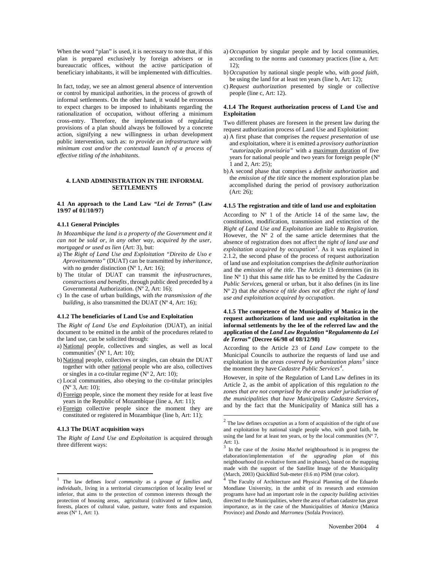When the word "plan" is used, it is necessary to note that, if this plan is prepared exclusively by foreign advisers or in bureaucratic offices, without the active participation of beneficiary inhabitants, it will be implemented with difficulties.

In fact, today, we see an almost general absence of intervention or control by municipal authorities, in the process of growth of informal settlements. On the other hand, it would be erroneous to expect charges to be imposed to inhabitants regarding the rationalization of occupation, without offering a minimum cross-entry. Therefore, the implementation of regulating provisions of a plan should always be followed by a concrete action, signifying a new willingness in urban development public intervention, such as: *to provide an infrastructure with minimum cost and/or the contextual launch of a process of effective titling of the inhabitants.*

#### **4. LAND ADMINISTRATION IN THE INFORMAL SETTLEMENTS**

**4.1 An approach to the Land Law** *"Lei de Terras"* **(Law 19/97 of 01/10/97)**

#### **4.1.1 General Principles**

*In Mozambique the land is a property of the Government and it can not be sold or, in any other way, acquired by the user, mortgaged or used as lien* (Art: 3), but:

- a) The *Right of Land Use and Exploitation "Direito de Uso e Aproveitamento"* (DUAT) can be transmitted by *inheritance*, with no gender distinction ( $N^{\circ}$  1, Art: 16);
- b) The titular of DUAT can transmit the *infrastructures, constructions and benefits*, through public deed preceded by a Governmental Authorization. (Nº 2, Art: 16);
- c) In the case of urban buildings, with *the transmission of the building*, is also transmitted the DUAT (N° 4, Art: 16);

#### **4.1.2 The beneficiaries of Land Use and Exploitation**

The *Right of Land Use and Exploitation* (DUAT), an initial document to be emitted in the ambit of the procedures related to the land use, can be solicited through:

- a) National people, collectives and singles, as well as local communities<sup>1</sup> (N° 1, Art: 10);
- b) National people, collectives or singles, can obtain the DUAT together with other national people who are also, collectives or singles in a co-titular regime  $(N^{\circ} 2, Art: 10);$
- c) Local communities, also obeying to the co-titular principles  $(N^{\circ} 3, Art: 10);$
- d) Foreign people, since the moment they reside for at least five years in the Republic of Mozambique (line a, Art: 11);
- e) Foreign collective people since the moment they are constituted or registered in Mozambique (line b, Art: 11);

#### **4.1.3 The DUAT acquisition ways**

l

The *Right of Land Use and Exploitation* is acquired through three different ways:

- a) *Occupation* by singular people and by local communities, according to the norms and customary practices (line a, Art:  $12$ :
- b) *Occupation* by national single people who, with *good faith*, be using the land for at least ten years (line b, Art: 12);
- c) *Request authorization* presented by single or collective people (line c, Art: 12).

#### **4.1.4 The Request authorization process of Land Use and Exploitation**

Two different phases are foreseen in the present law during the request authorization process of Land Use and Exploitation:

- a) A first phase that comprises the *request presentation* of use and exploitation, where it is emitted a *provisory authorization "autorização provisória"* with a maximum duration of five years for national people and two years for foreign people (Nº 1 and 2, Art: 25);
- b) A second phase that comprises a *definite authorization* and the *emission of the title* since the moment exploration plan be accomplished during the period of provisory authorization (Art: 26);

#### **4.1.5 The registration and title of land use and exploitation**

According to  $N^{\circ}$  1 of the Article 14 of the same law, the constitution, modification, transmission and extinction of the *Right of Land Use and Exploitation* are liable to *Registration.* However, the Nº 2 of the same article determines that the absence of registration does not affect the r*ight of land use and exploitation acquired by occupation*<sup>2</sup> . As it was explained in 2.1.2, the second phase of the process of request authorization of land use and exploitation comprises the *definite authorization* and the *emission of the title*. The Article 13 determines (in its line Nº 1) that this same *title* has to be emitted by the *Cadastre Public Services,* general or urban, but it also defines (in its line Nº 2) that *the absence of title does not affect the* r*ight of land use and exploitation acquired by occupation.*

#### **4.1.5 The competence of the Municipality of Manica in the request authorizations of land use and exploitation in the informal settlements by the lee of the referred law and the application of the** *Land Law Regulation "Regulamento da Lei de Terras"* **(Decree 66/98 of 08/12/98)**

According to the Article 23 of *Land Law* compete to the Municipal Councils to authorize the requests of land use and exploitation in the *areas covered by urbanization plans <sup>3</sup>* since the moment they have *Cadastre Public Services<sup>4</sup>* .

However, in spite of the Regulation of Land Law defines in its Article 2, as the ambit of application of this regulation *to the zones that are not comprised by the areas under jurisdiction of the municipalities that have Municipality Cadastre Services,*  and by the fact that the Municipality of Manica still has a

l

<sup>1</sup> The law defines *local community* as a *group of families and individuals*, living in a territorial circumscription of locality level or inferior, that aims to the protection of common interests through the protection of housing areas, agricultural (cultivated or fallow land), forests, places of cultural value, pasture, water fonts and expansion areas  $(N<sup>o</sup> 1, Art: 1)$ .

<sup>2</sup> The law defines *occupation* as a form of acquisition of the right of use and exploitation by national single people who, with good faith, be using the land for at least ten years, or by the local communities ( $N^{\circ}$  7, Art: 1).<br> $\frac{3}{3}$  J<sub>2</sub> 4.

In the case of the *Josina Machel* neighbourhood is in progress the elaboration/implementation of the *upgrading plan* of this neighbourhood (in evolutive form and in phases), based on the mapping made with the support of the Satellite Image of the Municipality (March, 2003) QuickBird Sub-meter (0.6 m) PSM (true color). 4

The Faculty of Architecture and Physical Planning of the Eduardo Mondlane University, in the ambit of its research and extension programs have had an important role in the *capacity building* activities directed to the Municipalities, where the area of urban cadastre has great importance, as in the case of the Municipalities of *Manica* (Manica Province) and *Dondo* and *Marromeu* (Sofala Province).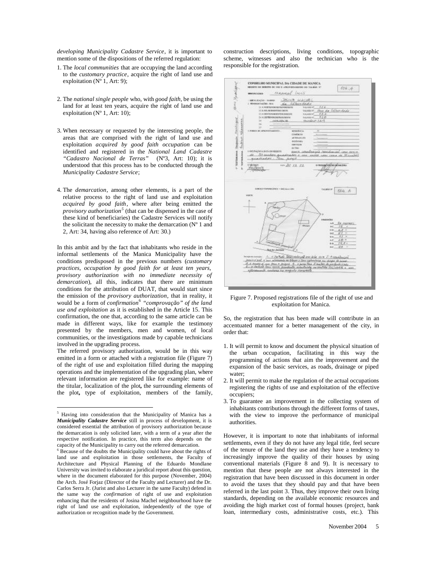*developing Municipality Cadastre Service*, it is important to mention some of the dispositions of the referred regulation:

- 1. The *local communities* that are occupying the land according to the *customary practice*, acquire the right of land use and exploitation ( $N^{\circ}$  1, Art: 9);
- 2. The *national single people* who, with *good faith,* be using the land for at least ten years, acquire the right of land use and exploitation (Nº 1, Art: 10);
- 3. When necessary or requested by the interesting people, the areas that are comprised with the right of land use and exploitation *acquired by good faith occupation* can be identified and registered in the *National Land Cadastre "Cadastro Nacional de Terras"* (Nº3, Art: 10); it is understood that this process has to be conducted through the *Municipality Cadastre Service*;
- 4. The *demarcation*, among other elements, is a part of the relative process to the right of land use and exploitation *acquired by good faith*, where after being emitted the *provisory authorization<sup>5</sup>* (that can be dispensed in the case of these kind of beneficiaries) the Cadastre Services will notify the solicitant the necessity to make the demarcation  $(N^{\circ} 1)$  and 2, Art: 34, having also reference of Art: 30.)

In this ambit and by the fact that inhabitants who reside in the informal settlements of the Manica Municipality have the conditions predisposed in the previous numbers (*customary practices, occupation by good faith for at least ten years, provisory authorization with no immediate necessity of demarcation*), all this, indicates that there are minimum conditions for the attribution of DUAT, that would start since the emission of the *provisory authorization*, that in reality, it would be a form of *confirmation* 6 *"comprovação" of the land use and exploitation* as it is established in the Article 15. This confirmation, the one that, according to the same article can be made in different ways, like for example the testimony presented by the members, men and women, of local communities, or the investigations made by capable technicians involved in the upgrading process.

The referred provisory authorization, would be in this way emitted in a form or attached with a registration file (Figure 7) of the right of use and exploitation filled during the mapping operations and the implementation of the upgrading plan, where relevant information are registered like for example: name of the titular, localization of the plot**,** the surrounding elements of the plot**,** type of exploitation, members of the family,

 $\overline{a}$ 

construction descriptions, living conditions, topographic scheme, witnesses and also the technician who is the responsible for the registration.



Figure 7. Proposed registrations file of the right of use and exploitation for Manica.

So, the registration that has been made will contribute in an accentuated manner for a better management of the city, in order that:

- 1. It will permit to know and document the physical situation of the urban occupation, facilitating in this way the programming of actions that aim the improvement and the expansion of the basic services, as roads, drainage or piped water;
- 2. It will permit to make the regulation of the actual occupations registering the rights of use and exploitation of the effective occupiers;
- 3. To guarantee an improvement in the collecting system of inhabitants contributions through the different forms of taxes, with the view to improve the performance of municipal authorities.

However, it is important to note that inhabitants of informal settlements, even if they do not have any legal title, feel secure of the tenure of the land they use and they have a tendency to increasingly improve the quality of their houses by using conventional materials (Figure 8 and 9). It is necessary to mention that these people are not always interested in the registration that have been discussed in this document in order to avoid the taxes that they should pay and that have been referred in the last point 3. Thus, they improve their own living standards, depending on the available economic resources and avoiding the high market cost of formal houses (project, bank loan, intermediary costs, administrative costs, etc.). This

<sup>5</sup> Having into consideration that the Municipality of Manica has a *Municipality Cadastre Service* still in process of development, it is considered essential the attribution of provisory authorization because the demarcation is only solicited later, with a term of a year after the respective notification. In practice, this term also depends on the capacity of the Municipality to carry out the referred demarcation.

<sup>6</sup> Because of the doubts the Municipality could have about the rights of land use and exploitation in those settlements, the Faculty of Architecture and Physical Planning of the Eduardo Mondlane University was invited to elaborate a juridical report about this question, where in the document elaborated for this purpose (November, 2004) the Arch. José Forjaz (Director of the Faculty and Lecturer) and the Dr. Carlos Serra Jr. (Jurist and also Lecturer in the same Faculty) defend in the same way the *confirmation* of right of use and exploitation enhancing that the residents of Josina Machel neighbourhood have the right of land use and exploitation, independently of the type of authorization or recognition made by the Government.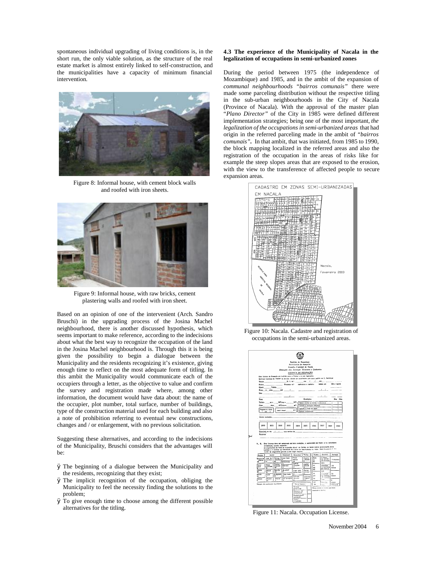spontaneous individual upgrading of living conditions is, in the short run, the only viable solution, as the structure of the real estate market is almost entirely linked to self-construction, and the municipalities have a capacity of minimum financial intervention.



Figure 8: Informal house, with cement block walls and roofed with iron sheets.



Figure 9: Informal house, with raw bricks, cement plastering walls and roofed with iron sheet.

Based on an opinion of one of the intervenient (Arch. Sandro Bruschi) in the upgrading process of the Josina Machel neighbourhood, there is another discussed hypothesis, which seems important to make reference, according to the indecisions about what the best way to recognize the occupation of the land in the Josina Machel neighbourhood is. Through this it is being given the possibility to begin a dialogue between the Municipality and the residents recognizing it's existence, giving enough time to reflect on the most adequate form of titling. In this ambit the Municipality would communicate each of the occupiers through a letter, as the objective to value and confirm the survey and registration made where, among other information, the document would have data about: the name of the occupier, plot number, total surface, number of buildings, type of the construction material used for each building and also a note of prohibition referring to eventual new constructions, changes and / or enlargement, with no previous solicitation.

Suggesting these alternatives, and according to the indecisions of the Municipality, Bruschi considers that the advantages will be:

- Ø The beginning of a dialogue between the Municipality and the residents, recognizing that they exist;
- Ø The implicit recognition of the occupation, obliging the Municipality to feel the necessity finding the solutions to the problem;
- Ø To give enough time to choose among the different possible alternatives for the titling.

#### **4.3 The experience of the Municipality of Nacala in the legalization of occupations in semi-urbanized zones**

During the period between 1975 (the independence of Mozambique) and 1985, and in the ambit of the expansion of *communal neighbourhoods "bairros comunais"* there were made some parceling distribution without the respective titling in the sub-urban neighbourhoods in the City of Nacala (Province of Nacala). With the approval of the master plan "*Plano Director"* of the City in 1985 were defined different implementation strategies; being one of the most important, *the legalization of the occupations in semi-urbanized areas* that had origin in the referred parceling made in the ambit of *"bairros comunais".* In that ambit, that was initiated, from 1985 to 1990, the block mapping localized in the referred areas and also the registration of the occupation in the areas of risks like for example the steep slopes areas that are exposed to the erosion, with the view to the transference of affected people to secure expansion areas.



Figure 10: Nacala. Cadastre and registration of occupations in the semi-urbanized areas.



Figure 11: Nacala. Occupation License.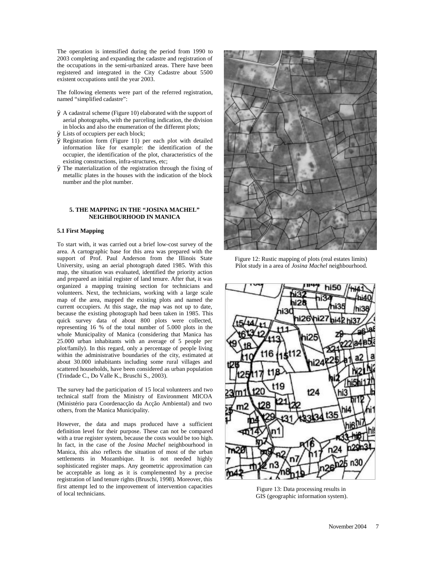The operation is intensified during the period from 1990 to 2003 completing and expanding the cadastre and registration of the occupations in the semi-urbanized areas. There have been registered and integrated in the City Cadastre about 5500 existent occupations until the year 2003.

The following elements were part of the referred registration, named "simplified cadastre":

- Ø A cadastral scheme (Figure 10) elaborated with the support of aerial photographs, with the parceling indication, the division in blocks and also the enumeration of the different plots;
- Ø Lists of occupiers per each block;
- Ø Registration form (Figure 11) per each plot with detailed information like for example: the identification of the occupier, the identification of the plot, characteristics of the existing constructions, infra-structures, etc;
- Ø The materialization of the registration through the fixing of metallic plates in the houses with the indication of the block number and the plot number.

#### **5. THE MAPPING IN THE "JOSINA MACHEL" NEIGHBOURHOOD IN MANICA**

#### **5.1 First Mapping**

To start with, it was carried out a brief low-cost survey of the area. A cartographic base for this area was prepared with the support of Prof. Paul Anderson from the Illinois State University, using an aerial photograph dated 1985. With this map, the situation was evaluated, identified the priority action and prepared an initial register of land tenure. After that, it was organized a mapping training section for technicians and volunteers. Next, the technicians, working with a large scale map of the area, mapped the existing plots and named the current occupiers. At this stage, the map was not up to date, because the existing photograph had been taken in 1985. This quick survey data of about 800 plots were collected, representing 16 % of the total number of 5.000 plots in the whole Municipality of Manica (considering that Manica has 25.000 urban inhabitants with an average of 5 people per plot/family). In this regard, only a percentage of people living within the administrative boundaries of the city, estimated at about 30.000 inhabitants including some rural villages and scattered households, have been considered as urban population (Trindade C., Do Valle K., Bruschi S., 2003).

The survey had the participation of 15 local volunteers and two technical staff from the Ministry of Environment MICOA (Ministério para Coordenacção da Acção Ambiental) and two others, from the Manica Municipality.

However, the data and maps produced have a sufficient definition level for their purpose. These can not be compared with a true register system, because the costs would be too high. In fact, in the case of the *Josina Machel* neighbourhood in Manica, this also reflects the situation of most of the urban settlements in Mozambique. It is not needed highly sophisticated register maps. Any geometric approximation can be acceptable as long as it is complemented by a precise registration of land tenure rights (Bruschi, 1998). Moreover, this first attempt led to the improvement of intervention capacities of local technicians.



Figure 12: Rustic mapping of plots (real estates limits) Pilot study in a area of *Josina Machel* neighbourhood.



Figure 13: Data processing results in GIS (geographic information system).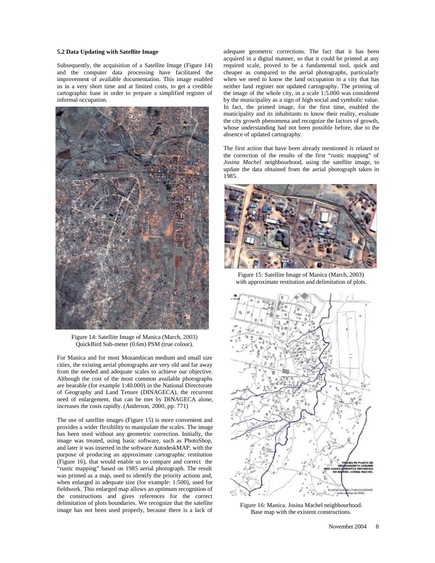#### **5.2 Data Updating with Satellite Image**

Subsequently, the acquisition of a Satellite Image (Figure 14) and the computer data processing have facilitated the improvement of available documentation. This image enabled us in a very short time and at limited costs, to get a credible cartographic base in order to prepare a simplified register of informal occupation.



Figure 14: Satellite Image of Manica (March, 2003) QuickBird Sub-meter (0.6m) PSM (true colour).

For Manica and for most Mozambican medium and small size cities, the existing aerial photographs are very old and far away from the needed and adequate scales to achieve our objective. Although the cost of the most common available photographs are bearable (for example 1:40.000) in the National Directorate of Geography and Land Tenure (DINAGECA), the recurrent need of enlargement, that can be met by DINAGECA alone, increases the costs rapidly. (Anderson, 2000, pp. 771)

The use of satellite images (Figure 15) is more convenient and provides a wider flexibility to manipulate the scales. The image has been used without any geometric correction. Initially, the image was treated, using basic software, such as PhotoShop, and later it was inserted in the software AutodeskMAP, with the purpose of producing an approximate cartographic restitution (Figure 16), that would enable us to compare and correct the "rustic mapping" based on 1985 aerial photograph. The result was printed as a map, used to identify the priority actions and, when enlarged in adequate size (for example: 1:500), used for fieldwork. This enlarged map allows an optimum recognition of the constructions and gives references for the correct delimitation of plots boundaries. We recognize that the satellite image has not been used properly, because there is a lack of

adequate geometric corrections. The fact that it has been acquired in a digital manner, so that it could be printed at any required scale, proved to be a fundamental tool, quick and cheaper as compared to the aerial photographs, particularly when we need to know the land occupation in a city that has neither land register nor updated cartography. The printing of the image of the whole city, in a scale 1:5.000 was considered by the municipality as a sign of high social and symbolic value. In fact, the printed image, for the first time, enabled the municipality and its inhabitants to know their reality, evaluate the city growth phenomena and recognize the factors of growth, whose understanding had not been possible before, due to the absence of updated cartography.

The first action that have been already mentioned is related to the correction of the results of the first "rustic mapping" of *Josina Machel* neighbourhood, using the satellite image, to update the data obtained from the aerial photograph taken in 1985.



Figure 15: Satellite Image of Manica (March, 2003) with approximate restitution and delimitation of plots.



Figure 16: Manica. Josina Machel neighbourhood. Base map with the existent constructions.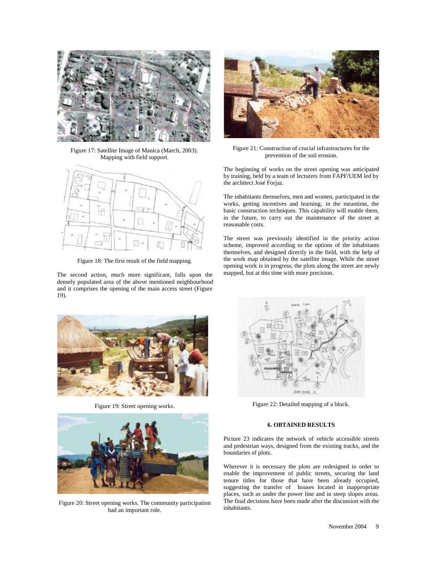

Figure 17: Satellite Image of Manica (March, 2003). Mapping with field support.



Figure 18: The first result of the field mapping.

The second action, much more significant, falls upon the densely populated area of the above mentioned neighbourhood and it comprises the opening of the main access street (Figure 19).



Figure 19: Street opening works.



Figure 20: Street opening works. The community participation had an important role.



Figure 21: Construction of crucial infrastructures for the prevention of the soil erosion.

The beginning of works on the street opening was anticipated by training, held by a team of lecturers from FAPF/UEM led by the architect José Forjaz.

The inhabitants themselves, men and women, participated in the works, getting incentives and learning, in the meantime, the basic construction techniques. This capability will enable them, in the future, to carry out the maintenance of the street at reasonable costs.

The street was previously identified in the priority action scheme, improved according to the options of the inhabitants themselves, and designed directly in the field, with the help of the work map obtained by the satellite image. While the street opening work is in progress, the plots along the street are newly mapped, but at this time with more precision.



Figure 22: Detailed mapping of a block.

#### **6. OBTAINED RESULTS**

Picture 23 indicates the network of vehicle accessible streets and pedestrian ways, designed from the existing tracks, and the boundaries of plots.

Wherever it is necessary the plots are redesigned in order to enable the improvement of public streets, securing the land tenure titles for those that have been already occupied, suggesting the transfer of houses located in inappropriate places, such as under the power line and in steep slopes areas. The final decisions have been made after the discussion with the inhabitants.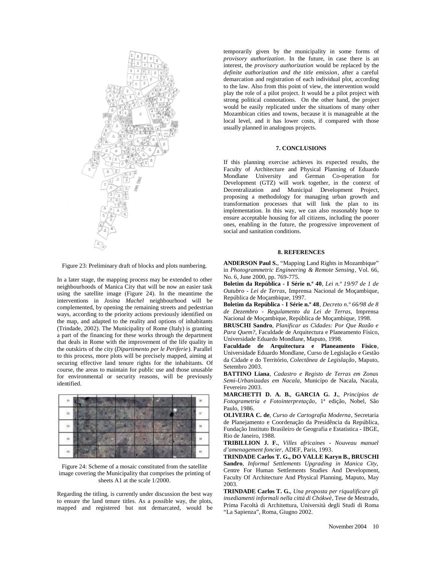

Figure 23: Preliminary draft of blocks and plots numbering.

In a later stage, the mapping process may be extended to other neighbourhoods of Manica City that will be now an easier task using the satellite image (Figure 24). In the meantime the interventions in *Josina Machel* neighbourhood will be complemented, by opening the remaining streets and pedestrian ways, according to the priority actions previously identified on the map, and adapted to the reality and options of inhabitants (Trindade, 2002). The Municipality of Rome (Italy) is granting a part of the financing for these works through the department that deals in Rome with the improvement of the life quality in the outskirts of the city (*Dipartimento per le Periferie*). Parallel to this process, more plots will be precisely mapped, aiming at securing effective land tenure rights for the inhabitants. Of course, the areas to maintain for public use and those unusable for environmental or security reasons, will be previously identified.



Figure 24: Scheme of a mosaic constituted from the satellite image covering the Municipality that comprises the printing of sheets A1 at the scale 1/2000.

Regarding the titling, is currently under discussion the best way to ensure the land tenure titles. As a possible way, the plots, mapped and registered but not demarcated, would be temporarily given by the municipality in some forms of *provisory authorization*. In the future, in case there is an interest, the *provisory authorization* would be replaced by the *definite authorization and the title emission*, after a careful demarcation and registration of each individual plot, according to the law. Also from this point of view, the intervention would play the role of a pilot project. It would be a pilot project with strong political connotations. On the other hand, the project would be easily replicated under the situations of many other Mozambican cities and towns, because it is manageable at the local level, and it has lower costs, if compared with those usually planned in analogous projects.

#### **7. CONCLUSIONS**

If this planning exercise achieves its expected results, the Faculty of Architecture and Physical Planning of Eduardo Mondlane University and German Co-operation for Development (GTZ) will work together, in the context of Decentralization and Municipal Development Project, proposing a methodology for managing urban growth and transformation processes that will link the plan to its implementation. In this way, we can also reasonably hope to ensure acceptable housing for all citizens, including the poorer ones, enabling in the future, the progressive improvement of social and sanitation conditions.

#### **8. REFERENCES**

**ANDERSON Paul S.**, "Mapping Land Rights in Mozambique" in *Photogrammetric Engineering & Remote Sensing*, Vol. 66, No. 6, June 2000, pp. 769-775.

**Boletim da República - I Série n.º 40**, *Lei n.º 19/97 de 1 de Outubro - Lei de Terras,* Imprensa Nacional de Moçambique, República de Moçambique, 1997.

**Boletim da República - I Série n.º 48**, *Decreto n.º 66/98 de 8 de Dezembro - Regulamento da Lei de Terras,* Imprensa Nacional de Moçambique, República de Moçambique, 1998.

**BRUSCHI Sandro**, *Planificar as Cidades: Por Que Razão e Para Quem?*, Faculdade de Arquitectura e Planeamento Físico, Universidade Eduardo Mondlane, Maputo, 1998.

**Faculdade de Arquitectura e Planeamento Físico**, Universidade Eduardo Mondlane, Curso de Legislação e Gestão da Cidade e do Território, *Colectânea de Legislação*, Maputo, Setembro 2003.

**BATTINO Liana**, *Cadastro e Registo de Terras em Zonas Semi-Urbanizadas em Nacala*, Municípo de Nacala, Nacala, Fevereiro 2003.

**MARCHETTI D. A. B.**, **GARCIA G. J.**, *Princípios de Fotogrametria e Fotointerpretação*, 1ª edição, Nobel, São Paulo, 1986.

**OLIVEIRA C. de**, *Curso de Cartografia Moderna*, Secretaria de Planejamento e Coordenação da Presidência da República, Fundação Instituto Brasileiro de Geografia e Estatística - IBGE, Rio de Janeiro, 1988.

**TRIBILLION J. F.**, *Villes africaines* - *Nouveau manuel d'amenagement foncier*, ADEF, Paris, 1993.

**TRINDADE Carlos T. G., DO VALLE Karyn B., BRUSCHI Sandro**, *Informal Settlements Upgrading in Manica City,*  Centre For Human Settlements Studies And Development, Faculty Of Architecture And Physical Planning, Maputo, May 2003.

**TRINDADE Carlos T. G.**, *Una proposta per riqualificare gli insediamenti informali nella cittá di Chókwè*, Tese de Mestrado, Prima Facoltà di Architettura, Università degli Studi di Roma "La Sapienza", Roma, Giugno 2002.